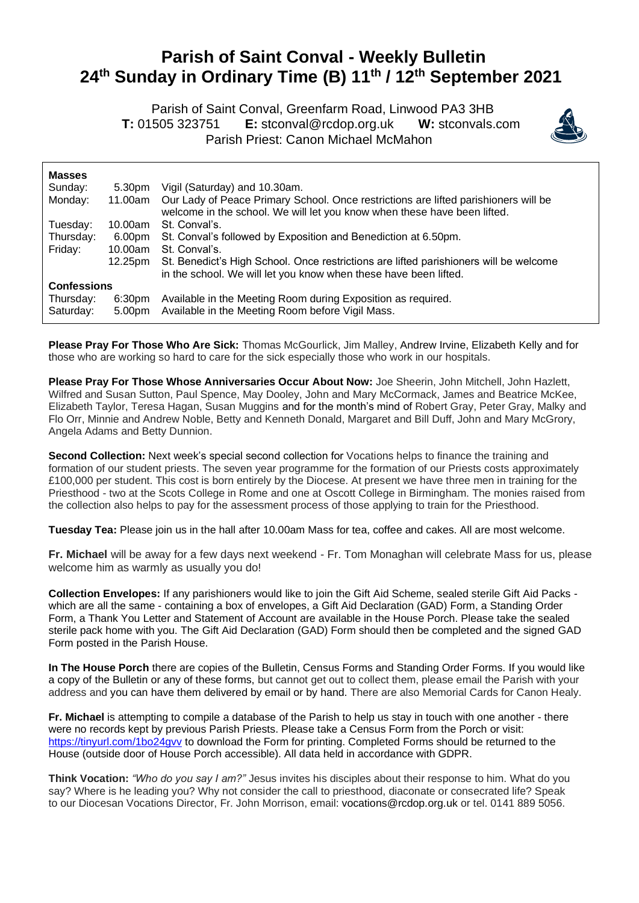## **Parish of Saint Conval - Weekly Bulletin 24 th Sunday in Ordinary Time (B) 11th / 12th September 2021**

 Parish of Saint Conval, Greenfarm Road, Linwood PA3 3HB **T:** 01505 323751 **E:** [stconval@rcdop.org.uk](mailto:stconval@rcdop.org.uk) **W:** stconvals.com Parish Priest: Canon Michael McMahon



| <b>Masses</b>          |                  |                                                                                                                                                                 |
|------------------------|------------------|-----------------------------------------------------------------------------------------------------------------------------------------------------------------|
| Sunday:                | 5.30pm           | Vigil (Saturday) and 10.30am.                                                                                                                                   |
| Monday:                | 11.00am          | Our Lady of Peace Primary School. Once restrictions are lifted parishioners will be<br>welcome in the school. We will let you know when these have been lifted. |
| Tuesday:               | 10.00am          | St. Conval's.                                                                                                                                                   |
| Thursday:              | 6.00pm           | St. Conval's followed by Exposition and Benediction at 6.50pm.                                                                                                  |
| Friday:                | 10.00am          | St. Conval's.                                                                                                                                                   |
|                        | 12.25pm          | St. Benedict's High School. Once restrictions are lifted parishioners will be welcome<br>in the school. We will let you know when these have been lifted.       |
| <b>Confessions</b>     |                  |                                                                                                                                                                 |
| Thursday:<br>Saturday: | 6:30pm<br>5.00pm | Available in the Meeting Room during Exposition as required.<br>Available in the Meeting Room before Vigil Mass.                                                |

**Please Pray For Those Who Are Sick:** Thomas McGourlick, Jim Malley, Andrew Irvine, Elizabeth Kelly and for those who are working so hard to care for the sick especially those who work in our hospitals.

**Please Pray For Those Whose Anniversaries Occur About Now:** Joe Sheerin, John Mitchell, John Hazlett, Wilfred and Susan Sutton, Paul Spence, May Dooley, John and Mary McCormack, James and Beatrice McKee, Elizabeth Taylor, Teresa Hagan, Susan Muggins and for the month's mind of Robert Gray, Peter Gray, Malky and Flo Orr, Minnie and Andrew Noble, Betty and Kenneth Donald, Margaret and Bill Duff, John and Mary McGrory, Angela Adams and Betty Dunnion.

**Second Collection:** Next week's special second collection for Vocations helps to finance the training and formation of our student priests. The seven year programme for the formation of our Priests costs approximately £100,000 per student. This cost is born entirely by the Diocese. At present we have three men in training for the Priesthood - two at the Scots College in Rome and one at Oscott College in Birmingham. The monies raised from the collection also helps to pay for the assessment process of those applying to train for the Priesthood.

**Tuesday Tea:** Please join us in the hall after 10.00am Mass for tea, coffee and cakes. All are most welcome.

**Fr. Michael** will be away for a few days next weekend - Fr. Tom Monaghan will celebrate Mass for us, please welcome him as warmly as usually you do!

**Collection Envelopes:** If any parishioners would like to join the Gift Aid Scheme, sealed sterile Gift Aid Packs which are all the same - containing a box of envelopes, a Gift Aid Declaration (GAD) Form, a Standing Order Form, a Thank You Letter and Statement of Account are available in the House Porch. Please take the sealed sterile pack home with you. The Gift Aid Declaration (GAD) Form should then be completed and the signed GAD Form posted in the Parish House.

**In The House Porch** there are copies of the Bulletin, Census Forms and Standing Order Forms. If you would like a copy of the Bulletin or any of these forms, but cannot get out to collect them, please email the Parish with your address and you can have them delivered by email or by hand. There are also Memorial Cards for Canon Healy.

**Fr. Michael** is attempting to compile a database of the Parish to help us stay in touch with one another - there were no records kept by previous Parish Priests. Please take a Census Form from the Porch or visit: <https://tinyurl.com/1bo24gvv> to download the Form for printing. Completed Forms should be returned to the House (outside door of House Porch accessible). All data held in accordance with GDPR.

**Think Vocation:** *"Who do you say I am?"* Jesus invites his disciples about their response to him. What do you say? Where is he leading you? Why not consider the call to priesthood, diaconate or consecrated life? Speak to our Diocesan Vocations Director, Fr. John Morrison, email: [vocations@rcdop.org.uk](mailto:vocations@rcdop.org.uk) or tel. 0141 889 5056.